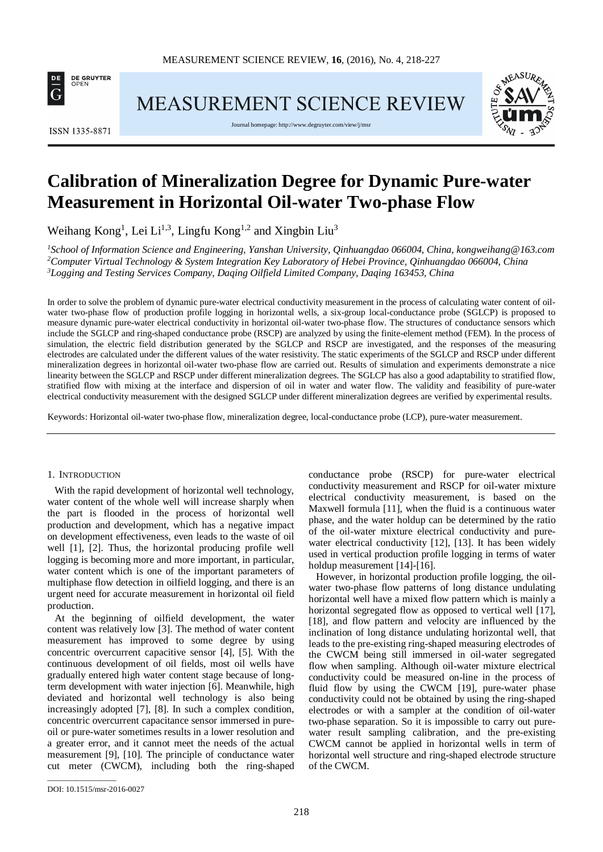

MEASUREMENT SCIENCE REVIEW



Journal homepage[: http://www.degruyter.com/view/j/msr](http://www.degruyter.com/view/j/msr)



# **Calibration of Mineralization Degree for Dynamic Pure-water Measurement in Horizontal Oil-water Two-phase Flow**

Weihang Kong<sup>1</sup>, Lei Li<sup>1,3</sup>, Lingfu Kong<sup>1,2</sup> and Xingbin Liu<sup>3</sup>

*1 School of Information Science and Engineering, Yanshan University, Qinhuangdao 066004, China, kongweihang@163.com 2 Computer Virtual Technology & System Integration Key Laboratory of Hebei Province, Qinhuangdao 066004, China 3 Logging and Testing Services Company, Daqing Oilfield Limited Company, Daqing 163453, China*

In order to solve the problem of dynamic pure-water electrical conductivity measurement in the process of calculating water content of oilwater two-phase flow of production profile logging in horizontal wells, a six-group local-conductance probe (SGLCP) is proposed to measure dynamic pure-water electrical conductivity in horizontal oil-water two-phase flow. The structures of conductance sensors which include the SGLCP and ring-shaped conductance probe (RSCP) are analyzed by using the finite-element method (FEM). In the process of simulation, the electric field distribution generated by the SGLCP and RSCP are investigated, and the responses of the measuring electrodes are calculated under the different values of the water resistivity. The static experiments of the SGLCP and RSCP under different mineralization degrees in horizontal oil-water two-phase flow are carried out. Results of simulation and experiments demonstrate a nice linearity between the SGLCP and RSCP under different mineralization degrees. The SGLCP has also a good adaptability to stratified flow, stratified flow with mixing at the interface and dispersion of oil in water and water flow. The validity and feasibility of pure-water electrical conductivity measurement with the designed SGLCP under different mineralization degrees are verified by experimental results.

Keywords: Horizontal oil-water two-phase flow, mineralization degree, local-conductance probe (LCP), pure-water measurement.

## 1. INTRODUCTION

With the rapid development of horizontal well technology, water content of the whole well will increase sharply when the part is flooded in the process of horizontal well production and development, which has a negative impact on development effectiveness, even leads to the waste of oil well [1], [2]. Thus, the horizontal producing profile well logging is becoming more and more important, in particular, water content which is one of the important parameters of multiphase flow detection in oilfield logging, and there is an urgent need for accurate measurement in horizontal oil field production.

At the beginning of oilfield development, the water content was relatively low [3]. The method of water content measurement has improved to some degree by using concentric overcurrent capacitive sensor [4], [5]. With the continuous development of oil fields, most oil wells have gradually entered high water content stage because of longterm development with water injection [6]. Meanwhile, high deviated and horizontal well technology is also being increasingly adopted [7], [8]. In such a complex condition, concentric overcurrent capacitance sensor immersed in pureoil or pure-water sometimes results in a lower resolution and a greater error, and it cannot meet the needs of the actual measurement [9], [10]. The principle of conductance water cut meter (CWCM), including both the ring-shaped

conductance probe (RSCP) for pure-water electrical conductivity measurement and RSCP for oil-water mixture electrical conductivity measurement, is based on the Maxwell formula [11], when the fluid is a continuous water phase, and the water holdup can be determined by the ratio of the oil-water mixture electrical conductivity and purewater electrical conductivity [12], [13]. It has been widely used in vertical production profile logging in terms of water holdup measurement [14]-[16].

However, in horizontal production profile logging, the oilwater two-phase flow patterns of long distance undulating horizontal well have a mixed flow pattern which is mainly a horizontal segregated flow as opposed to vertical well [17], [18], and flow pattern and velocity are influenced by the inclination of long distance undulating horizontal well, that leads to the pre-existing ring-shaped measuring electrodes of the CWCM being still immersed in oil-water segregated flow when sampling. Although oil-water mixture electrical conductivity could be measured on-line in the process of fluid flow by using the CWCM [19], pure-water phase conductivity could not be obtained by using the ring-shaped electrodes or with a sampler at the condition of oil-water two-phase separation. So it is impossible to carry out purewater result sampling calibration, and the pre-existing CWCM cannot be applied in horizontal wells in term of horizontal well structure and ring-shaped electrode structure of the CWCM.

\_\_\_\_\_\_\_\_\_\_\_\_\_\_\_\_\_

DOI: 10.1515/msr-2016-0027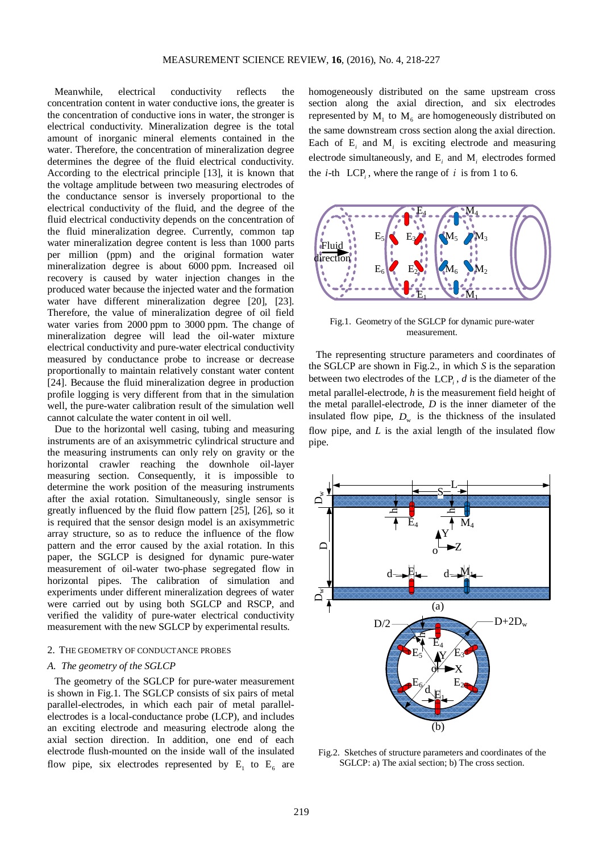Meanwhile, electrical conductivity reflects the concentration content in water conductive ions, the greater is the concentration of conductive ions in water, the stronger is electrical conductivity. Mineralization degree is the total amount of inorganic mineral elements contained in the water. Therefore, the concentration of mineralization degree determines the degree of the fluid electrical conductivity. According to the electrical principle [13], it is known that the voltage amplitude between two measuring electrodes of the conductance sensor is inversely proportional to the electrical conductivity of the fluid, and the degree of the fluid electrical conductivity depends on the concentration of the fluid mineralization degree. Currently, common tap water mineralization degree content is less than 1000 parts per million (ppm) and the original formation water mineralization degree is about 6000 ppm. Increased oil recovery is caused by water injection changes in the produced water because the injected water and the formation water have different mineralization degree [20], [23]. Therefore, the value of mineralization degree of oil field water varies from 2000 ppm to 3000 ppm. The change of mineralization degree will lead the oil-water mixture electrical conductivity and pure-water electrical conductivity measured by conductance probe to increase or decrease proportionally to maintain relatively constant water content [24]. Because the fluid mineralization degree in production profile logging is very different from that in the simulation well, the pure-water calibration result of the simulation well cannot calculate the water content in oil well.

Due to the horizontal well casing, tubing and measuring instruments are of an axisymmetric cylindrical structure and the measuring instruments can only rely on gravity or the horizontal crawler reaching the downhole oil-layer measuring section. Consequently, it is impossible to determine the work position of the measuring instruments after the axial rotation. Simultaneously, single sensor is greatly influenced by the fluid flow pattern [25], [26], so it is required that the sensor design model is an axisymmetric array structure, so as to reduce the influence of the flow pattern and the error caused by the axial rotation. In this paper, the SGLCP is designed for dynamic pure-water measurement of oil-water two-phase segregated flow in horizontal pipes. The calibration of simulation and experiments under different mineralization degrees of water were carried out by using both SGLCP and RSCP, and verified the validity of pure-water electrical conductivity measurement with the new SGLCP by experimental results.

## 2. THE GEOMETRY OF CONDUCTANCE PROBES

### *A. The geometry of the SGLCP*

The geometry of the SGLCP for pure-water measurement is shown in Fig.1. The SGLCP consists of six pairs of metal parallel-electrodes, in which each pair of metal parallelelectrodes is a local-conductance probe (LCP), and includes an exciting electrode and measuring electrode along the axial section direction. In addition, one end of each electrode flush-mounted on the inside wall of the insulated flow pipe, six electrodes represented by  $E_1$  to  $E_6$  are homogeneously distributed on the same upstream cross section along the axial direction, and six electrodes represented by  $M_1$  to  $M_6$  are homogeneously distributed on the same downstream cross section along the axial direction. Each of  $E_i$  and  $M_i$  is exciting electrode and measuring electrode simultaneously, and E*<sup>i</sup>* and M*<sup>i</sup>* electrodes formed the *i*-th LCP<sub>i</sub>, where the range of *i* is from 1 to 6.



Fig.1. Geometry of the SGLCP for dynamic pure-water measurement.

The representing structure parameters and coordinates of the SGLCP are shown in Fig.2., in which *S* is the separation between two electrodes of the LCP*<sup>i</sup>* , *d* is the diameter of the metal parallel-electrode, *h* is the measurement field height of the metal parallel-electrode, *D* is the inner diameter of the insulated flow pipe,  $D_w$  is the thickness of the insulated flow pipe, and *L* is the axial length of the insulated flow pipe.



Fig.2. Sketches of structure parameters and coordinates of the SGLCP: a) The axial section; b) The cross section.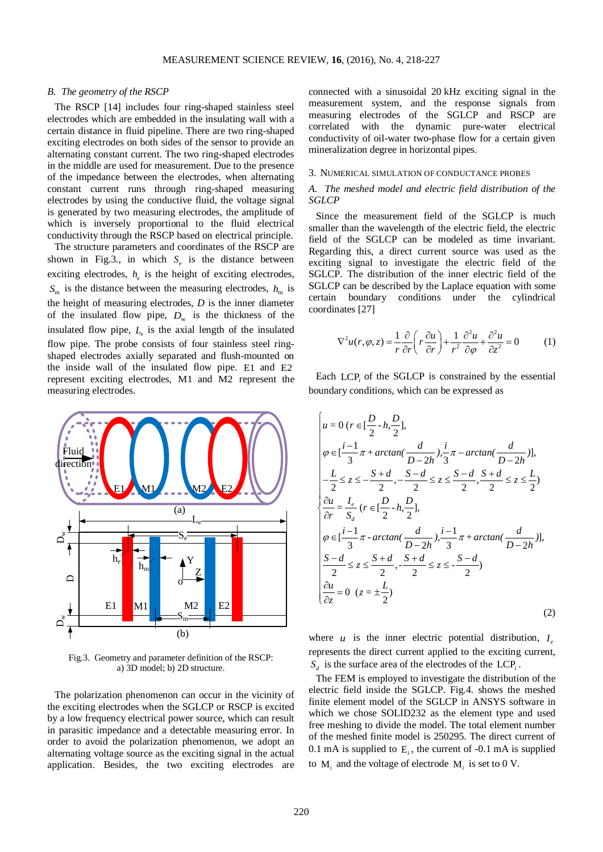#### *B. The geometry of the RSCP*

The RSCP [14] includes four ring-shaped stainless steel electrodes which are embedded in the insulating wall with a certain distance in fluid pipeline. There are two ring-shaped exciting electrodes on both sides of the sensor to provide an alternating constant current. The two ring-shaped electrodes in the middle are used for measurement. Due to the presence of the impedance between the electrodes, when alternating constant current runs through ring-shaped measuring electrodes by using the conductive fluid, the voltage signal is generated by two measuring electrodes, the amplitude of which is inversely proportional to the fluid electrical conductivity through the RSCP based on electrical principle.

The structure parameters and coordinates of the RSCP are shown in Fig.3., in which  $S_e$  is the distance between exciting electrodes,  $h_e$  is the height of exciting electrodes,  $S<sub>m</sub>$  is the distance between the measuring electrodes,  $h<sub>m</sub>$  is the height of measuring electrodes, *D* is the inner diameter of the insulated flow pipe,  $D_w$  is the thickness of the insulated flow pipe,  $L_{\varepsilon}$  is the axial length of the insulated flow pipe. The probe consists of four stainless steel ringshaped electrodes axially separated and flush-mounted on the inside wall of the insulated flow pipe. E1 and E2 represent exciting electrodes, M1 and M2 represent the measuring electrodes.



Fig.3. Geometry and parameter definition of the RSCP: a) 3D model; b) 2D structure.

The polarization phenomenon can occur in the vicinity of the exciting electrodes when the SGLCP or RSCP is excited by a low frequency electrical power source, which can result in parasitic impedance and a detectable measuring error. In order to avoid the polarization phenomenon, we adopt an alternating voltage source as the exciting signal in the actual application. Besides, the two exciting electrodes are connected with a sinusoidal 20 kHz exciting signal in the measurement system, and the response signals from measuring electrodes of the SGLCP and RSCP are correlated with the dynamic pure-water electrical conductivity of oil-water two-phase flow for a certain given mineralization degree in horizontal pipes.

## 3. NUMERICAL SIMULATION OF CONDUCTANCE PROBES

# *A. The meshed model and electric field distribution of the SGLCP*

Since the measurement field of the SGLCP is much smaller than the wavelength of the electric field, the electric field of the SGLCP can be modeled as time invariant. Regarding this, a direct current source was used as the exciting signal to investigate the electric field of the SGLCP. The distribution of the inner electric field of the SGLCP can be described by the Laplace equation with some certain boundary conditions under the cylindrical coordinates [27]

$$
\nabla^2 u(r, \varphi, z) = \frac{1}{r} \frac{\partial}{\partial r} \left( r \frac{\partial u}{\partial r} \right) + \frac{1}{r^2} \frac{\partial^2 u}{\partial \varphi} + \frac{\partial^2 u}{\partial z^2} = 0 \tag{1}
$$

Each LCP<sub>i</sub> of the SGLCP is constrained by the essential boundary conditions, which can be expressed as

$$
\begin{cases}\n u = 0 \ (r \in [\frac{D}{2} - h, \frac{D}{2}], \\
 \varphi \in [\frac{i-1}{3}\pi + \arctan(\frac{d}{D-2h}), \frac{i}{3}\pi - \arctan(\frac{d}{D-2h})], \\
 -\frac{L}{2} \le z \le -\frac{S+d}{2}, -\frac{S-d}{2} \le z \le \frac{S-d}{2}, \frac{S+d}{2} \le z \le \frac{L}{2}) \\
 \frac{\partial u}{\partial r} = \frac{I_e}{S_d} \ (r \in [\frac{D}{2} - h, \frac{D}{2}], \\
 \varphi \in [\frac{i-1}{3}\pi - \arctan(\frac{d}{D-2h}), \frac{i-1}{3}\pi + \arctan(\frac{d}{D-2h})], \\
 \frac{S-d}{2} \le z \le \frac{S+d}{2}, -\frac{S+d}{2} \le z \le -\frac{S-d}{2}) \\
 \frac{\partial u}{\partial z} = 0 \ (z = \pm \frac{L}{2})\n\end{cases} (2)
$$

where *u* is the inner electric potential distribution,  $I<sub>a</sub>$ represents the direct current applied to the exciting current,  $S_d$  is the surface area of the electrodes of the LCP<sub>i</sub>.

The FEM is employed to investigate the distribution of the electric field inside the SGLCP. Fig.4. shows the meshed finite element model of the SGLCP in ANSYS software in which we chose SOLID232 as the element type and used free meshing to divide the model. The total element number of the meshed finite model is 250295. The direct current of 0.1 mA is supplied to E*<sup>i</sup>* , the current of -0.1 mA is supplied to  $M_i$  and the voltage of electrode  $M_i$  is set to 0 V.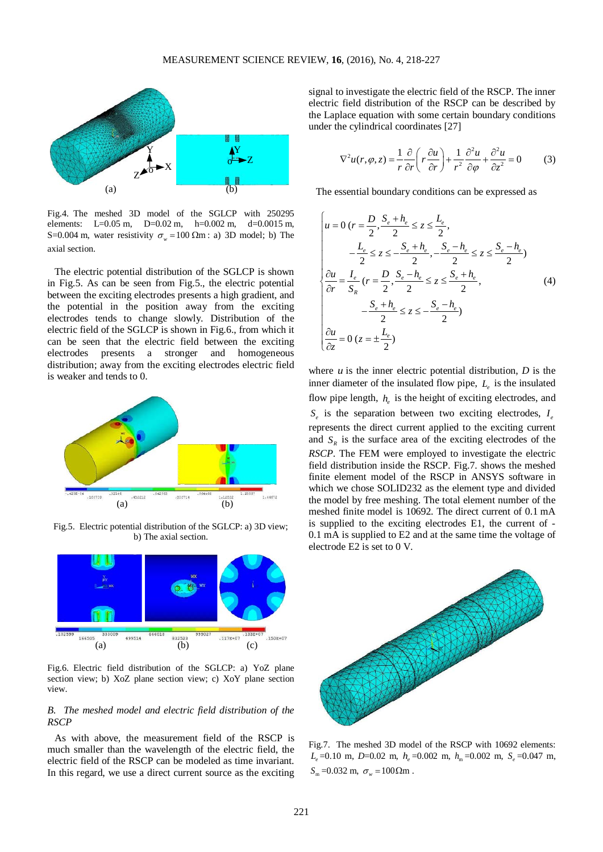

Fig.4. The meshed 3D model of the SGLCP with 250295 elements: L=0.05 m, D=0.02 m, h=0.002 m, d=0.0015 m, S=0.004 m, water resistivity  $\sigma_w = 100 \Omega m$ : a) 3D model; b) The axial section.

The electric potential distribution of the SGLCP is shown in Fig.5. As can be seen from Fig.5., the electric potential between the exciting electrodes presents a high gradient, and the potential in the position away from the exciting electrodes tends to change slowly. Distribution of the electric field of the SGLCP is shown in Fig.6., from which it can be seen that the electric field between the exciting electrodes presents a stronger and homogeneous distribution; away from the exciting electrodes electric field is weaker and tends to 0.



Fig.5. Electric potential distribution of the SGLCP: a) 3D view; b) The axial section.



Fig.6. Electric field distribution of the SGLCP: a) YoZ plane section view; b) XoZ plane section view; c) XoY plane section view.

## *B. The meshed model and electric field distribution of the RSCP*

As with above, the measurement field of the RSCP is much smaller than the wavelength of the electric field, the electric field of the RSCP can be modeled as time invariant. In this regard, we use a direct current source as the exciting signal to investigate the electric field of the RSCP. The inner electric field distribution of the RSCP can be described by the Laplace equation with some certain boundary conditions under the cylindrical coordinates [27]

$$
\nabla^2 u(r, \varphi, z) = \frac{1}{r} \frac{\partial}{\partial r} \left( r \frac{\partial u}{\partial r} \right) + \frac{1}{r^2} \frac{\partial^2 u}{\partial \varphi} + \frac{\partial^2 u}{\partial z^2} = 0 \tag{3}
$$

The essential boundary conditions can be expressed as

$$
\begin{cases}\n u = 0 \ (r = \frac{D}{2}, \frac{S_e + h_e}{2} \le z \le \frac{L_e}{2}, \\
 -\frac{L_e}{2} \le z \le -\frac{S_e + h_e}{2}, -\frac{S_e - h_e}{2} \le z \le \frac{S_e - h_e}{2}) \\
 \frac{\partial u}{\partial r} = \frac{I_e}{S_R} \ (r = \frac{D}{2}, \frac{S_e - h_e}{2} \le z \le \frac{S_e + h_e}{2}, \\
 -\frac{S_e + h_e}{2} \le z \le -\frac{S_e - h_e}{2}) \\
 \frac{\partial u}{\partial z} = 0 \ (z = \pm \frac{L_e}{2})\n\end{cases} (4)
$$

where  $u$  is the inner electric potential distribution,  $D$  is the inner diameter of the insulated flow pipe,  $L_{\alpha}$  is the insulated flow pipe length,  $h_{\rho}$  is the height of exciting electrodes, and  $S_{\ell}$  is the separation between two exciting electrodes,  $I_{\ell}$ represents the direct current applied to the exciting current and  $S_R$  is the surface area of the exciting electrodes of the *RSCP*. The FEM were employed to investigate the electric field distribution inside the RSCP. Fig.7. shows the meshed finite element model of the RSCP in ANSYS software in which we chose SOLID232 as the element type and divided the model by free meshing. The total element number of the meshed finite model is 10692. The direct current of 0.1 mA is supplied to the exciting electrodes E1, the current of - 0.1 mA is supplied to E2 and at the same time the voltage of electrode E2 is set to 0 V.



Fig.7. The meshed 3D model of the RSCP with 10692 elements:  $L_e$  =0.10 m, *D*=0.02 m,  $h_e$  =0.002 m,  $h_m$  =0.002 m,  $S_e$  =0.047 m,  $S_m = 0.032$  m,  $\sigma_w = 100 \Omega$ m.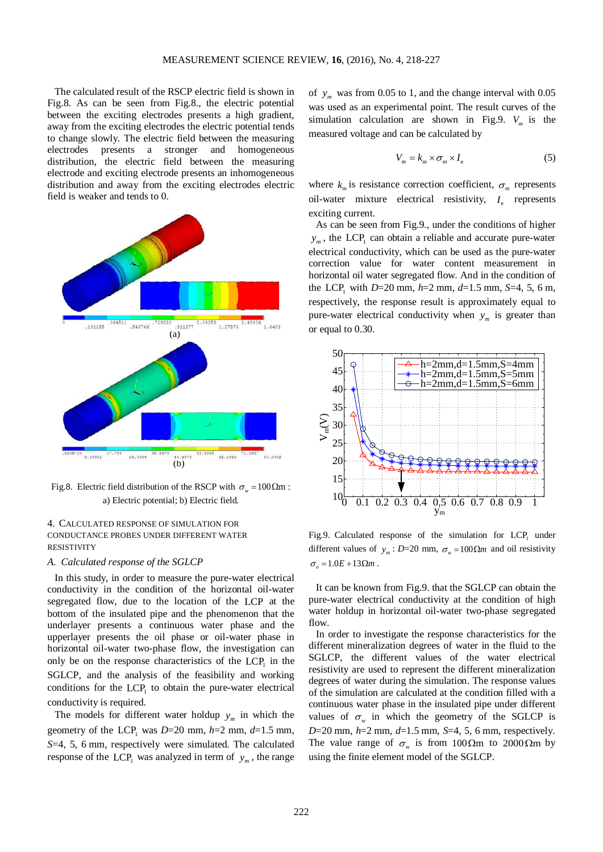The calculated result of the RSCP electric field is shown in Fig.8. As can be seen from Fig.8., the electric potential between the exciting electrodes presents a high gradient, away from the exciting electrodes the electric potential tends to change slowly. The electric field between the measuring electrodes presents a stronger and homogeneous distribution, the electric field between the measuring electrode and exciting electrode presents an inhomogeneous distribution and away from the exciting electrodes electric field is weaker and tends to 0.



Fig.8. Electric field distribution of the RSCP with  $\sigma_w = 100 \Omega m$ : a) Electric potential; b) Electric field.

# 4. CALCULATED RESPONSE OF SIMULATION FOR CONDUCTANCE PROBES UNDER DIFFERENT WATER RESISTIVITY

## *A. Calculated response of the SGLCP*

In this study, in order to measure the pure-water electrical conductivity in the condition of the horizontal oil-water segregated flow, due to the location of the LCP at the bottom of the insulated pipe and the phenomenon that the underlayer presents a continuous water phase and the upperlayer presents the oil phase or oil-water phase in horizontal oil-water two-phase flow, the investigation can only be on the response characteristics of the  $LCP<sub>1</sub>$  in the SGLCP, and the analysis of the feasibility and working conditions for the  $LCP<sub>1</sub>$  to obtain the pure-water electrical conductivity is required.

The models for different water holdup  $y_m$  in which the geometry of the LCP<sub>1</sub> was  $D=20$  mm,  $h=2$  mm,  $d=1.5$  mm, *S*=4, 5, 6 mm, respectively were simulated. The calculated response of the LCP<sub>1</sub> was analyzed in term of  $y_m$ , the range of  $y_m$  was from 0.05 to 1, and the change interval with 0.05 was used as an experimental point. The result curves of the simulation calculation are shown in Fig.9.  $V_m$  is the measured voltage and can be calculated by

$$
V_m = k_m \times \sigma_m \times I_e \tag{5}
$$

where  $k_m$  is resistance correction coefficient,  $\sigma_m$  represents oil-water mixture electrical resistivity,  $I_e$  represents exciting current.

As can be seen from Fig.9., under the conditions of higher  $y<sub>m</sub>$ , the LCP<sub>1</sub> can obtain a reliable and accurate pure-water electrical conductivity, which can be used as the pure-water correction value for water content measurement in horizontal oil water segregated flow. And in the condition of the LCP<sub>1</sub> with *D*=20 mm,  $h=2$  mm,  $d=1.5$  mm,  $S=4, 5, 6$  m, respectively, the response result is approximately equal to pure-water electrical conductivity when  $y_m$  is greater than or equal to 0.30.



Fig.9. Calculated response of the simulation for  $LCP<sub>1</sub>$  under different values of  $y_m$ : *D*=20 mm,  $\sigma_w$  = 100 $\Omega$ *m* and oil resistivity  $\sigma_{0} = 1.0E + 13 \Omega m$ .

It can be known from Fig.9. that the SGLCP can obtain the pure-water electrical conductivity at the condition of high water holdup in horizontal oil-water two-phase segregated flow.

In order to investigate the response characteristics for the different mineralization degrees of water in the fluid to the SGLCP, the different values of the water electrical resistivity are used to represent the different mineralization degrees of water during the simulation. The response values of the simulation are calculated at the condition filled with a continuous water phase in the insulated pipe under different values of  $\sigma_w$  in which the geometry of the SGLCP is *D*=20 mm, *h*=2 mm, *d*=1.5 mm, *S*=4, 5, 6 mm, respectively. The value range of  $\sigma_w$  is from 100 Ωm to 2000 Ωm by using the finite element model of the SGLCP.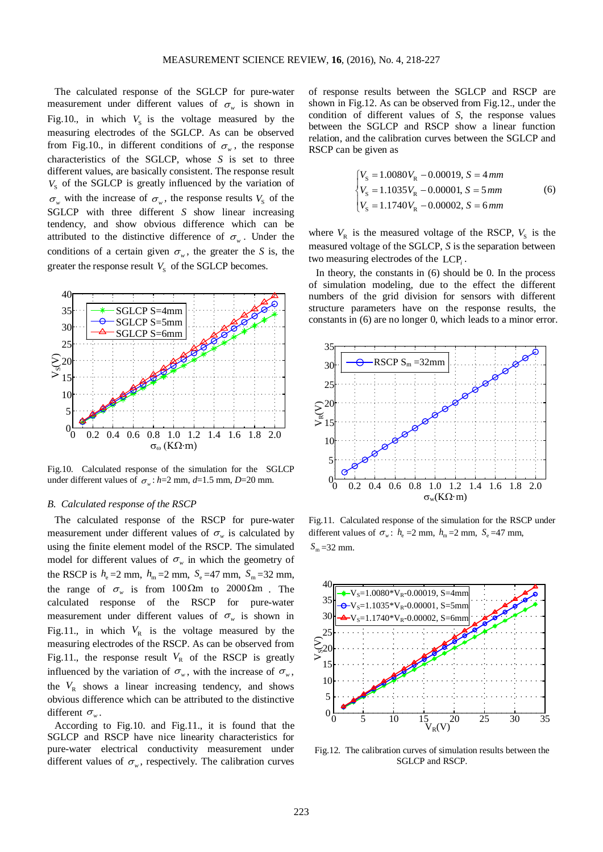The calculated response of the SGLCP for pure-water measurement under different values of  $\sigma_w$  is shown in Fig.10., in which  $V<sub>s</sub>$  is the voltage measured by the measuring electrodes of the SGLCP. As can be observed from Fig.10., in different conditions of  $\sigma_w$ , the response characteristics of the SGLCP, whose *S* is set to three different values, are basically consistent. The response result  $V<sub>s</sub>$  of the SGLCP is greatly influenced by the variation of  $\sigma_w$  with the increase of  $\sigma_w$ , the response results  $V_s$  of the SGLCP with three different *S* show linear increasing tendency, and show obvious difference which can be attributed to the distinctive difference of  $\sigma_w$ . Under the conditions of a certain given  $\sigma_w$ , the greater the *S* is, the greater the response result  $V<sub>s</sub>$  of the SGLCP becomes.



Fig.10. Calculated response of the simulation for the SGLCP under different values of  $\sigma_w$ : *h*=2 mm, *d*=1.5 mm, *D*=20 mm.

#### *B. Calculated response of the RSCP*

The calculated response of the RSCP for pure-water measurement under different values of  $\sigma_w$  is calculated by using the finite element model of the RSCP. The simulated model for different values of  $\sigma_w$  in which the geometry of the RSCP is  $h_e = 2$  mm,  $h_m = 2$  mm,  $S_e = 47$  mm,  $S_m = 32$  mm, the range of  $\sigma_w$  is from 100 Ωm to 2000 Ωm. The calculated response of the RSCP for pure-water measurement under different values of  $\sigma_w$  is shown in Fig.11., in which  $V_R$  is the voltage measured by the measuring electrodes of the RSCP. As can be observed from Fig.11., the response result  $V_R$  of the RSCP is greatly influenced by the variation of  $\sigma_w$ , with the increase of  $\sigma_w$ , the  $V_R$  shows a linear increasing tendency, and shows obvious difference which can be attributed to the distinctive different  $\sigma_w$ .

According to Fig.10. and Fig.11., it is found that the SGLCP and RSCP have nice linearity characteristics for pure-water electrical conductivity measurement under different values of  $\sigma_w$ , respectively. The calibration curves of response results between the SGLCP and RSCP are shown in Fig.12. As can be observed from Fig.12., under the condition of different values of *S*, the response values between the SGLCP and RSCP show a linear function relation, and the calibration curves between the SGLCP and RSCP can be given as

$$
\begin{cases}\nV_{\rm s} = 1.0080V_{\rm R} - 0.00019, S = 4 \, mm \\
V_{\rm s} = 1.1035V_{\rm R} - 0.00001, S = 5 \, mm \\
V_{\rm s} = 1.1740V_{\rm R} - 0.00002, S = 6 \, mm\n\end{cases} \tag{6}
$$

where  $V_R$  is the measured voltage of the RSCP,  $V_S$  is the measured voltage of the SGLCP, *S* is the separation between two measuring electrodes of the LCP*<sup>i</sup>* .

In theory, the constants in (6) should be 0. In the process of simulation modeling, due to the effect the different numbers of the grid division for sensors with different structure parameters have on the response results, the constants in (6) are no longer 0, which leads to a minor error.



Fig.11. Calculated response of the simulation for the RSCP under different values of  $\sigma_w$ :  $h_e = 2$  mm,  $h_m = 2$  mm,  $S_e = 47$  mm,  $S_m = 32$  mm.



Fig.12. The calibration curves of simulation results between the SGLCP and RSCP.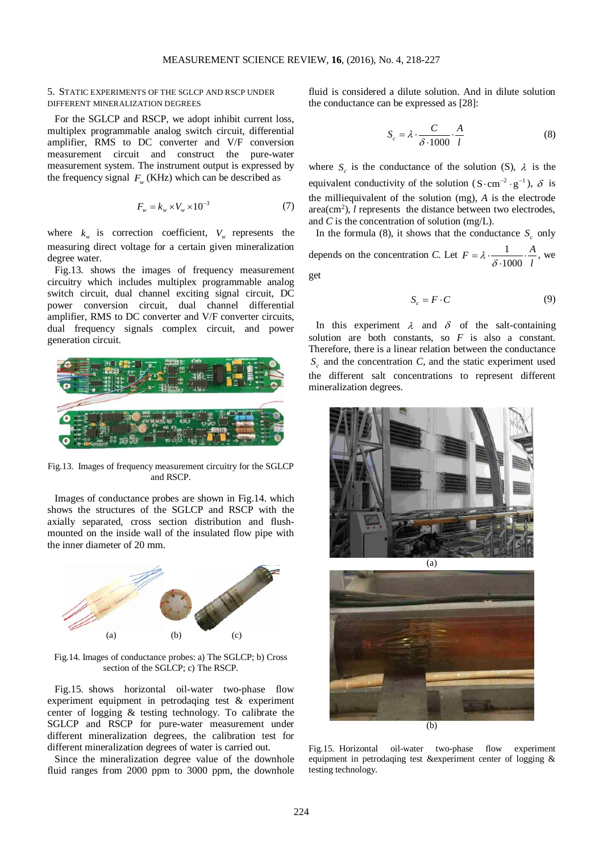## 5. STATIC EXPERIMENTS OF THE SGLCP AND RSCP UNDER DIFFERENT MINERALIZATION DEGREES

For the SGLCP and RSCP, we adopt inhibit current loss, multiplex programmable analog switch circuit, differential amplifier, RMS to DC converter and V/F conversion measurement circuit and construct the pure-water measurement system. The instrument output is expressed by the frequency signal  $F_w$  (KHz) which can be described as

$$
F_w = k_w \times V_w \times 10^{-3} \tag{7}
$$

where  $k_w$  is correction coefficient,  $V_w$  represents the measuring direct voltage for a certain given mineralization degree water.

Fig.13. shows the images of frequency measurement circuitry which includes multiplex programmable analog switch circuit, dual channel exciting signal circuit, DC power conversion circuit, dual channel differential amplifier, RMS to DC converter and V/F converter circuits, dual frequency signals complex circuit, and power generation circuit.



Fig.13. Images of frequency measurement circuitry for the SGLCP and RSCP.

Images of conductance probes are shown in Fig.14. which shows the structures of the SGLCP and RSCP with the axially separated, cross section distribution and flushmounted on the inside wall of the insulated flow pipe with the inner diameter of 20 mm.



Fig.14. Images of conductance probes: a) The SGLCP; b) Cross section of the SGLCP; c) The RSCP.

Fig.15. shows horizontal oil-water two-phase flow experiment equipment in petrodaqing test & experiment center of logging & testing technology. To calibrate the SGLCP and RSCP for pure-water measurement under different mineralization degrees, the calibration test for different mineralization degrees of water is carried out.

Since the mineralization degree value of the downhole fluid ranges from 2000 ppm to 3000 ppm, the downhole fluid is considered a dilute solution. And in dilute solution the conductance can be expressed as [28]:

$$
S_c = \lambda \cdot \frac{C}{\delta \cdot 1000} \cdot \frac{A}{l}
$$
 (8)

where  $S_c$  is the conductance of the solution (S),  $\lambda$  is the equivalent conductivity of the solution ( $S \cdot cm^{-2} \cdot g^{-1}$ ),  $\delta$  is the milliequivalent of the solution (mg), *A* is the electrode  $area$ (cm<sup>2</sup>), *l* represents the distance between two electrodes, and *C* is the concentration of solution (mg/L).

In the formula (8), it shows that the conductance  $S_c$  only depends on the concentration *C*. Let  $F = \lambda \cdot \frac{1}{2\lambda}$  $F = \lambda \cdot \frac{1}{\delta \cdot 1000} \cdot \frac{A}{l}$ , we get

$$
S_c = F \cdot C \tag{9}
$$

In this experiment  $\lambda$  and  $\delta$  of the salt-containing solution are both constants, so *F* is also a constant. Therefore, there is a linear relation between the conductance  $S_c$  and the concentration *C*, and the static experiment used the different salt concentrations to represent different mineralization degrees.





Fig.15. Horizontal oil-water two-phase flow experiment equipment in petrodaqing test &experiment center of logging & testing technology.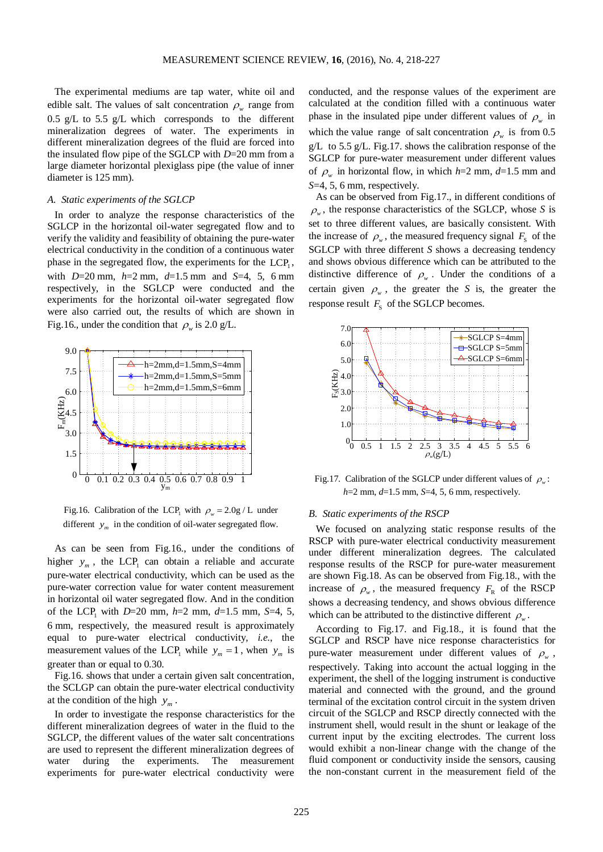The experimental mediums are tap water, white oil and edible [salt](http://cn.bing.com/dict/search?q=salt&FORM=BDVSP6&mkt=zh-cn). The values of salt [concentration](http://cn.bing.com/dict/search?q=concentration&FORM=BDVSP6&mkt=zh-cn)  $\rho_{\mu}$  range from 0.5 g/L to 5.5 g/L which corresponds to the different mineralization degrees of [water](http://cn.bing.com/dict/search?q=water&FORM=BDVSP6&mkt=zh-cn). The experiments in different mineralization degrees of the fluid are forced into the insulated flow pipe of the SGLCP with *D*=20 mm from a large diameter horizontal plexiglass pipe (the value of inner diameter is 125 mm).

### *A. Static experiments of the SGLCP*

In order to analyze the response characteristics of the SGLCP in the horizontal oil-water segregated flow and to verify the validity and feasibility of obtaining the pure-water electrical conductivity in the condition of a continuous water phase in the segregated flow, the experiments for the  $LCP<sub>1</sub>$ , with *D*=20 mm, *h*=2 mm, *d*=1.5 mm and *S*=4, 5, 6 mm respectively, in the SGLCP were conducted and the experiments for the horizontal oil-water segregated flow were also carried out, the results of which are shown in Fig.16., under the condition that  $\rho_w$  is 2.0 g/L.



Fig.16. Calibration of the LCP<sub>1</sub> with  $\rho_w = 2.0g / L$  under different  $y_m$  in the condition of oil-water segregated flow.

As can be seen from Fig.16., under the conditions of higher  $y_m$ , the LCP<sub>1</sub> can obtain a reliable and accurate pure-water electrical conductivity, which can be used as the pure-water correction value for water content measurement in horizontal oil water segregated flow. And in the condition of the LCP1 with *D*=20 mm, *h*=2 mm, *d*=1.5 mm, *S*=4, 5, 6 mm, respectively, the measured result is approximately equal to pure-water electrical conductivity, *i.e.*, the measurement values of the LCP<sub>1</sub> while  $y_m = 1$ , when  $y_m$  is greater than or equal to 0.30.

Fig.16. shows that under a certain given salt concentration, the SCLGP can obtain the pure-water electrical conductivity at the condition of the high  $y_m$ .

In order to investigate the response characteristics for the different mineralization degrees of water in the fluid to the SGLCP, the different values of the water salt concentrations are used to represent the different mineralization degrees of water during the experiments. The measurement experiments for pure-water electrical conductivity were

conducted, and the response values of the experiment are calculated at the condition filled with a continuous water phase in the insulated pipe under different values of  $\rho_w$  in which the value range of [salt](http://cn.bing.com/dict/search?q=salt&FORM=BDVSP6&mkt=zh-cn) [concentration](http://cn.bing.com/dict/search?q=concentration&FORM=BDVSP6&mkt=zh-cn)  $\rho_w$  is from 0.5  $g/L$  to 5.5  $g/L$ . Fig.17. shows the calibration response of the SGLCP for pure-water measurement under different values of  $\rho_w$  in horizontal flow, in which  $h=2$  mm,  $d=1.5$  mm and *S*=4, 5, 6 mm, respectively.

As can be observed from Fig.17., in different conditions of  $\rho_w$ , the response characteristics of the SGLCP, whose *S* is set to three different values, are basically consistent. With the increase of  $\rho_w$ , the measured frequency signal  $F_s$  of the SGLCP with three different *S* shows a decreasing tendency and shows obvious difference which can be attributed to the distinctive difference of  $\rho_w$ . Under the conditions of a certain given  $\rho_w$ , the greater the *S* is, the greater the response result  $F<sub>S</sub>$  of the SGLCP becomes.



Fig.17. Calibration of the SGLCP under different values of  $\rho_w$ : *h*=2 mm, *d*=1.5 mm, *S*=4, 5, 6 mm, respectively.

#### *B. Static experiments of the RSCP*

We focused on analyzing static response results of the RSCP with pure-water electrical conductivity measurement under different mineralization degrees. The calculated response results of the RSCP for pure-water measurement are shown Fig.18. As can be observed from Fig.18., with the increase of  $\rho_w$ , the measured frequency  $F_R$  of the RSCP shows a decreasing tendency, and shows obvious difference which can be attributed to the distinctive different  $\rho_{\mu}$ .

According to Fig.17. and Fig.18., it is found that the SGLCP and RSCP have nice response characteristics for pure-water measurement under different values of  $\rho_w$ , respectively. Taking into account the actual logging in the experiment, the shell of the logging instrument is conductive material and connected with the ground, and the ground terminal of the excitation control circuit in the system driven circuit of the SGLCP and RSCP directly connected with the instrument shell, would result in the shunt or leakage of the current input by the exciting electrodes. The current loss would exhibit a non-linear change with the change of the fluid component or conductivity inside the sensors, causing the non-constant current in the measurement field of the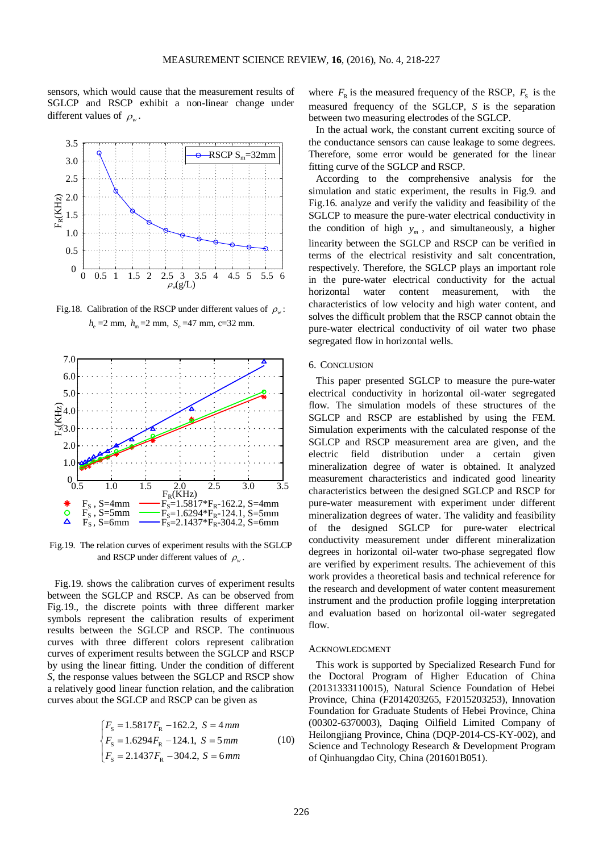sensors, which would cause that the measurement results of SGLCP and RSCP exhibit a non-linear change under different values of  $\rho_w$ .



Fig.18. Calibration of the RSCP under different values of  $\rho_w$ :  $h_a = 2$  mm,  $h_m = 2$  mm,  $S_a = 47$  mm, c=32 mm.



Fig.19. The relation curves of experiment results with the SGLCP and RSCP under different values of  $\rho_{\mu}$ .

Fig.19. shows the calibration curves of experiment results between the SGLCP and RSCP. As can be observed from Fig.19., the discrete points with three different marker symbols represent the calibration results of experiment results between the SGLCP and RSCP. The continuous curves with three different colors represent calibration curves of experiment results between the SGLCP and RSCP by using the linear fitting. Under the condition of different *S*, the response values between the SGLCP and RSCP show a relatively good linear function relation, and the calibration curves about the SGLCP and RSCP can be given as

$$
\begin{cases}\nF_{\rm s} = 1.5817 F_{\rm R} - 162.2, \ S = 4 \, mm \\
F_{\rm s} = 1.6294 F_{\rm R} - 124.1, \ S = 5 \, mm \\
F_{\rm s} = 2.1437 F_{\rm R} - 304.2, \ S = 6 \, mm\n\end{cases} \tag{10}
$$

where  $F_R$  is the measured frequency of the RSCP,  $F_S$  is the measured frequency of the SGLCP, *S* is the separation between two measuring electrodes of the SGLCP.

In the actual work, the constant current exciting source of the conductance sensors can cause leakage to some degrees. Therefore, some error would be generated for the linear fitting curve of the SGLCP and RSCP.

According to the comprehensive analysis for the simulation and static experiment, the results in Fig.9. and Fig.16. analyze and verify the validity and feasibility of the SGLCP to measure the pure-water electrical conductivity in the condition of high  $y_m$ , and simultaneously, a higher linearity between the SGLCP and RSCP can be verified in terms of the electrical resistivity and salt concentration, respectively. Therefore, the SGLCP plays an important role in the pure-water electrical conductivity for the actual horizontal water content measurement, with the characteristics of low velocity and high water content, and solves the difficult problem that the RSCP cannot obtain the pure-water electrical conductivity of oil water two phase segregated flow in horizontal wells.

#### 6. CONCLUSION

This paper presented SGLCP to measure the pure-water electrical conductivity in horizontal oil-water segregated flow. The simulation models of these structures of the SGLCP and RSCP are established by using the FEM. Simulation experiments with the calculated response of the SGLCP and RSCP measurement area are given, and the electric field distribution under a certain given mineralization degree of water is obtained. It analyzed measurement characteristics and indicated good linearity characteristics between the designed SGLCP and RSCP for pure-water measurement with experiment under different mineralization degrees of water. The validity and feasibility of the designed SGLCP for pure-water electrical conductivity measurement under different mineralization degrees in horizontal oil-water two-phase segregated flow are verified by experiment results. The achievement of this work provides a theoretical basis and technical reference for the research and development of water content measurement instrument and the production profile logging interpretation and evaluation based on horizontal oil-water segregated flow.

#### ACKNOWLEDGMENT

This work is supported by Specialized Research Fund for the Doctoral Program of Higher Education of China (20131333110015), Natural Science Foundation of Hebei Province, China (F2014203265, F2015203253), Innovation Foundation for Graduate Students of Hebei Province, China (00302-6370003), Daqing Oilfield Limited Company of Heilongjiang Province, China (DQP-2014-CS-KY-002), and Science and Technology Research & Development Program of Qinhuangdao City, China (201601B051).